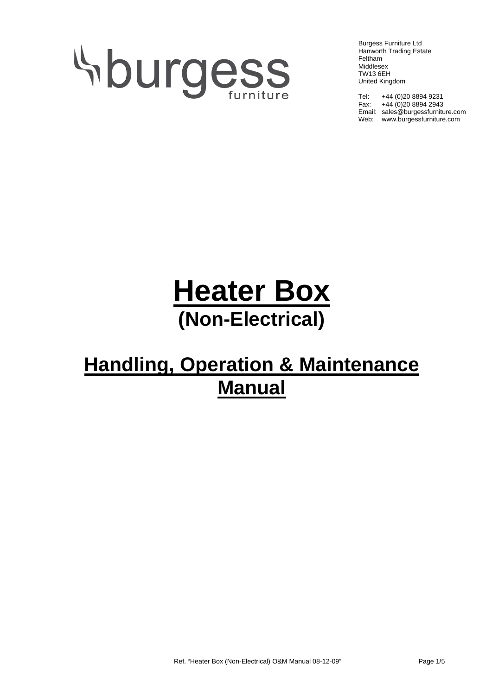# **Sburgess**

Burgess Furniture Ltd Hanworth Trading Estate Feltham Middlesex TW13 6EH United Kingdom

Tel: +44 (0)20 8894 9231 Fax:  $+44(0)2088942943$ Email: sales@burgessfurniture.com Web: www.burgessfurniture.com

## **Heater Box (Non-Electrical)**

### **Handling, Operation & Maintenance Manual**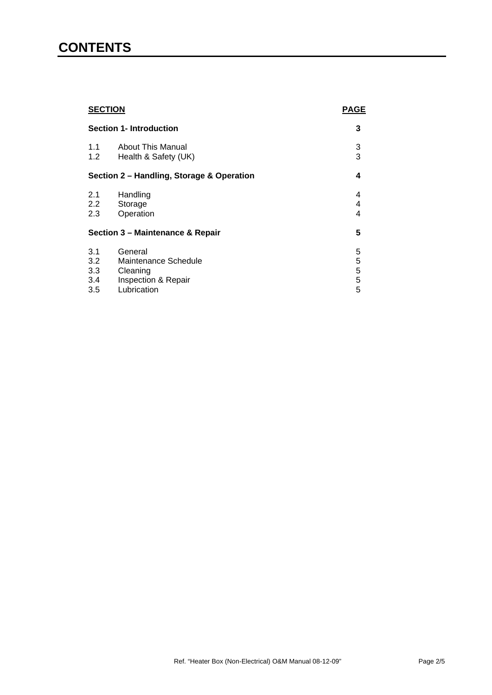#### **CONTENTS**

| <b>SECTION</b><br><b>Section 1- Introduction</b> |                                                                    | <b>PAGE</b> |
|--------------------------------------------------|--------------------------------------------------------------------|-------------|
|                                                  |                                                                    | 3           |
| 1.1<br>1.2                                       | <b>About This Manual</b><br>Health & Safety (UK)                   | 3<br>3      |
| Section 2 - Handling, Storage & Operation        |                                                                    | 4           |
| 2.1<br>$2.2^{\circ}$<br>2.3                      | Handling<br>Storage<br>Operation                                   | 4<br>4<br>4 |
| Section 3 - Maintenance & Repair                 |                                                                    | 5           |
| 3.1<br>3.2<br>3.3<br>3.4                         | General<br>Maintenance Schedule<br>Cleaning<br>Inspection & Repair | 5<br>55555  |
| 3.5                                              | Lubrication                                                        |             |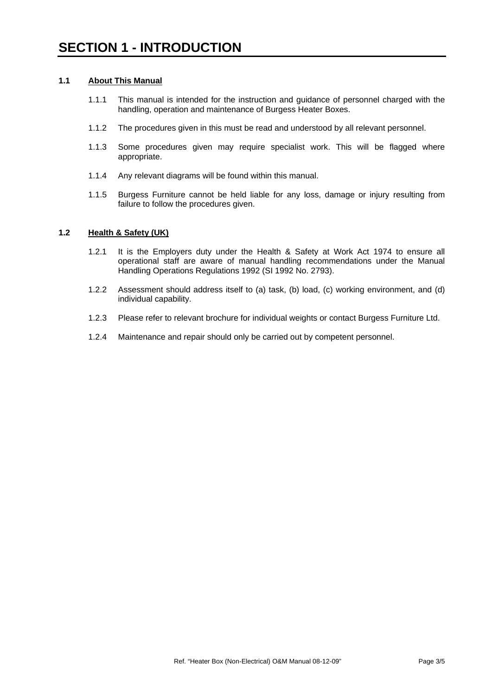#### **1.1 About This Manual**

- 1.1.1 This manual is intended for the instruction and guidance of personnel charged with the handling, operation and maintenance of Burgess Heater Boxes.
- 1.1.2 The procedures given in this must be read and understood by all relevant personnel.
- 1.1.3 Some procedures given may require specialist work. This will be flagged where appropriate.
- 1.1.4 Any relevant diagrams will be found within this manual.
- 1.1.5 Burgess Furniture cannot be held liable for any loss, damage or injury resulting from failure to follow the procedures given.

#### **1.2 Health & Safety (UK)**

- 1.2.1 It is the Employers duty under the Health & Safety at Work Act 1974 to ensure all operational staff are aware of manual handling recommendations under the Manual Handling Operations Regulations 1992 (SI 1992 No. 2793).
- 1.2.2 Assessment should address itself to (a) task, (b) load, (c) working environment, and (d) individual capability.
- 1.2.3 Please refer to relevant brochure for individual weights or contact Burgess Furniture Ltd.
- 1.2.4 Maintenance and repair should only be carried out by competent personnel.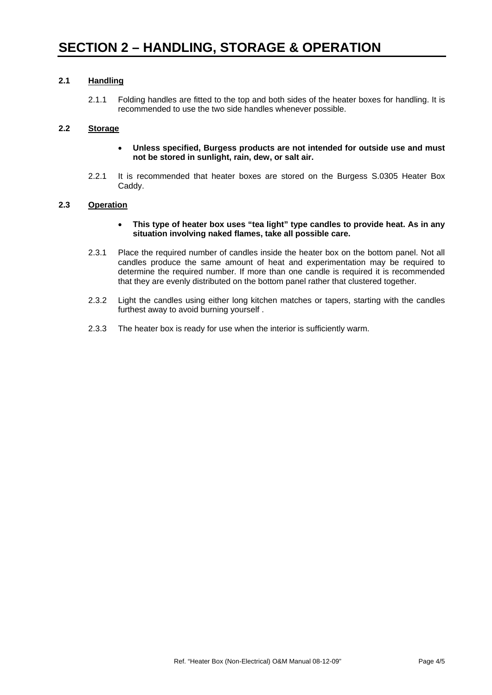#### **2.1 Handling**

2.1.1 Folding handles are fitted to the top and both sides of the heater boxes for handling. It is recommended to use the two side handles whenever possible.

#### **2.2 Storage**

- **Unless specified, Burgess products are not intended for outside use and must not be stored in sunlight, rain, dew, or salt air.**
- 2.2.1 It is recommended that heater boxes are stored on the Burgess S.0305 Heater Box Caddy.

#### **2.3 Operation**

- **This type of heater box uses "tea light" type candles to provide heat. As in any situation involving naked flames, take all possible care.**
- 2.3.1 Place the required number of candles inside the heater box on the bottom panel. Not all candles produce the same amount of heat and experimentation may be required to determine the required number. If more than one candle is required it is recommended that they are evenly distributed on the bottom panel rather that clustered together.
- 2.3.2 Light the candles using either long kitchen matches or tapers, starting with the candles furthest away to avoid burning yourself .
- 2.3.3 The heater box is ready for use when the interior is sufficiently warm.